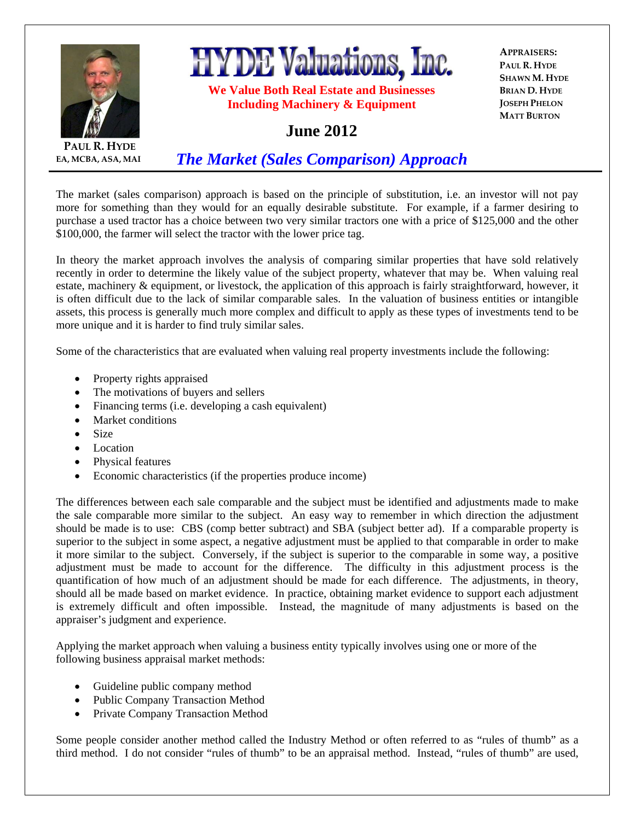

**HYDE Valuations, Inc.** 

**We Value Both Real Estate and Businesses Including Machinery & Equipment** 

**APPRAISERS: PAUL R. HYDE SHAWN M. HYDE BRIAN D. HYDE JOSEPH PHELON MATT BURTON**

## **June 2012**

**PAUL R. HYDE EA, MCBA, ASA, MAI**

*The Market (Sales Comparison) Approach*

The market (sales comparison) approach is based on the principle of substitution, i.e. an investor will not pay more for something than they would for an equally desirable substitute. For example, if a farmer desiring to purchase a used tractor has a choice between two very similar tractors one with a price of \$125,000 and the other \$100,000, the farmer will select the tractor with the lower price tag.

In theory the market approach involves the analysis of comparing similar properties that have sold relatively recently in order to determine the likely value of the subject property, whatever that may be. When valuing real estate, machinery & equipment, or livestock, the application of this approach is fairly straightforward, however, it is often difficult due to the lack of similar comparable sales. In the valuation of business entities or intangible assets, this process is generally much more complex and difficult to apply as these types of investments tend to be more unique and it is harder to find truly similar sales.

Some of the characteristics that are evaluated when valuing real property investments include the following:

- Property rights appraised
- The motivations of buyers and sellers
- Financing terms (i.e. developing a cash equivalent)
- Market conditions
- Size
- Location
- Physical features
- Economic characteristics (if the properties produce income)

The differences between each sale comparable and the subject must be identified and adjustments made to make the sale comparable more similar to the subject. An easy way to remember in which direction the adjustment should be made is to use: CBS (comp better subtract) and SBA (subject better ad). If a comparable property is superior to the subject in some aspect, a negative adjustment must be applied to that comparable in order to make it more similar to the subject. Conversely, if the subject is superior to the comparable in some way, a positive adjustment must be made to account for the difference. The difficulty in this adjustment process is the quantification of how much of an adjustment should be made for each difference. The adjustments, in theory, should all be made based on market evidence. In practice, obtaining market evidence to support each adjustment is extremely difficult and often impossible. Instead, the magnitude of many adjustments is based on the appraiser's judgment and experience.

Applying the market approach when valuing a business entity typically involves using one or more of the following business appraisal market methods:

- Guideline public company method
- Public Company Transaction Method
- Private Company Transaction Method

Some people consider another method called the Industry Method or often referred to as "rules of thumb" as a third method. I do not consider "rules of thumb" to be an appraisal method. Instead, "rules of thumb" are used,